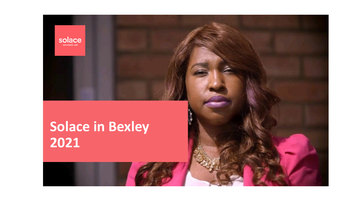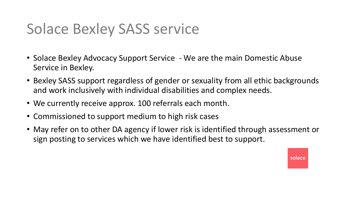## Solace Bexley SASS service

- Solace Bexley Advocacy Support Service We are the main Domestic Abuse Service in Bexley.
- Bexley SASS support regardless of gender or sexuality from all ethic backgrounds and work inclusively with individual disabilities and complex needs.
- We currently receive approx. 100 referrals each month.
- Commissioned to support medium to high risk cases
- May refer on to other DA agency if lower risk is identified through assessment or sign posting to services which we have identified best to support.

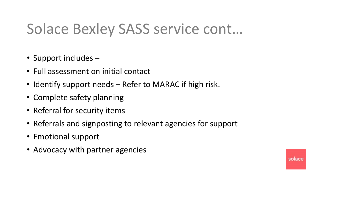## Solace Bexley SASS service cont…

- Support includes –
- Full assessment on initial contact
- Identify support needs Refer to MARAC if high risk.
- Complete safety planning
- Referral for security items
- Referrals and signposting to relevant agencies for support
- Emotional support
- Advocacy with partner agencies

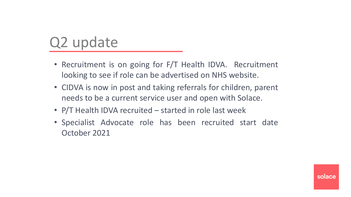## Q2 update

- Recruitment is on going for F/T Health IDVA. Recruitment looking to see if role can be advertised on NHS website.
- CIDVA is now in post and taking referrals for children, parent needs to be a current service user and open with Solace.
- **Add statistic, text veek Add statistic**  • P/T Health IDVA recruited – started in role last week
- Specialist Advocate role has been recruited start date October 2021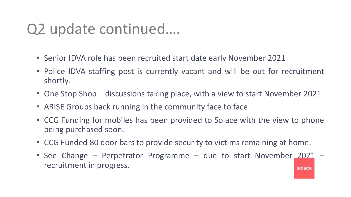## Q2 update continued….

- Senior IDVA role has been recruited start date early November 2021
- Police IDVA staffing post is currently vacant and will be out for recruitment shortly.
- One Stop Shop discussions taking place, with a view to start November 2021
- ARISE Groups back running in the community face to face
- CCG Funding for mobiles has been provided to Solace with the view to phone being purchased soon.
- CCG Funded 80 door bars to provide security to victims remaining at home.
- See Change Perpetrator Programme due to start November 2021 recruitment in progress.solace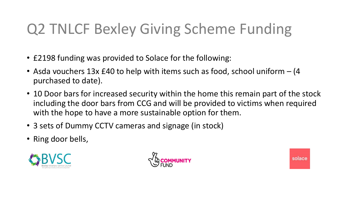# Q2 TNLCF Bexley Giving Scheme Funding

- £2198 funding was provided to Solace for the following:
- Asda vouchers 13x £40 to help with items such as food, school uniform (4) purchased to date).
- 10 Door bars for increased security within the home this remain part of the stock including the door bars from CCG and will be provided to victims when required with the hope to have a more sustainable option for them.
- 3 sets of Dummy CCTV cameras and signage (in stock)
- Ring door bells,





solace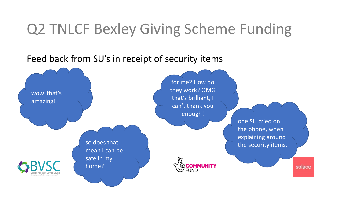## Q2 TNLCF Bexley Giving Scheme Funding

#### Feed back from SU's in receipt of security items